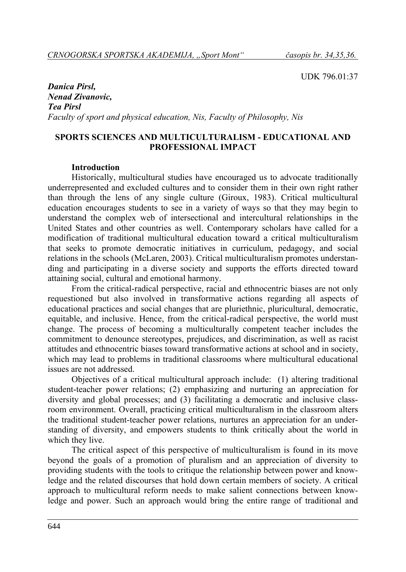UDK 796.01:37

*Danica Pirsl, Nenad Zivanovic, Tea Pirsl Faculty of sport and physical education, Nis, Faculty of Philosophy, Nis* 

### **SPORTS SCIENCES AND MULTICULTURALISM - EDUCATIONAL AND PROFESSIONAL IMPACT**

#### **Introduction**

Historically, multicultural studies have encouraged us to advocate traditionally underrepresented and excluded cultures and to consider them in their own right rather than through the lens of any single culture (Giroux, 1983). Critical multicultural education encourages students to see in a variety of ways so that they may begin to understand the complex web of intersectional and intercultural relationships in the United States and other countries as well. Contemporary scholars have called for a modification of traditional multicultural education toward a critical multiculturalism that seeks to promote democratic initiatives in curriculum, pedagogy, and social relations in the schools (McLaren, 2003). Critical multiculturalism promotes understanding and participating in a diverse society and supports the efforts directed toward attaining social, cultural and emotional harmony.

From the critical-radical perspective, racial and ethnocentric biases are not only requestioned but also involved in transformative actions regarding all aspects of educational practices and social changes that are pluriethnic, pluricultural, democratic, equitable, and inclusive. Hence, from the critical-radical perspective, the world must change. The process of becoming a multiculturally competent teacher includes the commitment to denounce stereotypes, prejudices, and discrimination, as well as racist attitudes and ethnocentric biases toward transformative actions at school and in society, which may lead to problems in traditional classrooms where multicultural educational issues are not addressed.

Objectives of a critical multicultural approach include: (1) altering traditional student-teacher power relations; (2) emphasizing and nurturing an appreciation for diversity and global processes; and (3) facilitating a democratic and inclusive classroom environment. Overall, practicing critical multiculturalism in the classroom alters the traditional student-teacher power relations, nurtures an appreciation for an understanding of diversity, and empowers students to think critically about the world in which they live.

The critical aspect of this perspective of multiculturalism is found in its move beyond the goals of a promotion of pluralism and an appreciation of diversity to providing students with the tools to critique the relationship between power and knowledge and the related discourses that hold down certain members of society. A critical approach to multicultural reform needs to make salient connections between knowledge and power. Such an approach would bring the entire range of traditional and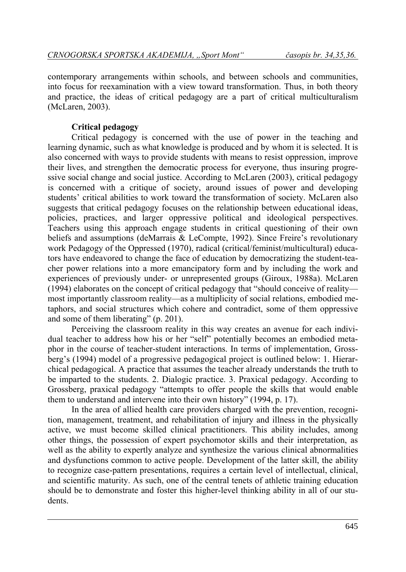contemporary arrangements within schools, and between schools and communities, into focus for reexamination with a view toward transformation. Thus, in both theory and practice, the ideas of critical pedagogy are a part of critical multiculturalism (McLaren, 2003).

# **Critical pedagogy**

Critical pedagogy is concerned with the use of power in the teaching and learning dynamic, such as what knowledge is produced and by whom it is selected. It is also concerned with ways to provide students with means to resist oppression, improve their lives, and strengthen the democratic process for everyone, thus insuring progressive social change and social justice. According to McLaren (2003), critical pedagogy is concerned with a critique of society, around issues of power and developing students' critical abilities to work toward the transformation of society. McLaren also suggests that critical pedagogy focuses on the relationship between educational ideas, policies, practices, and larger oppressive political and ideological perspectives. Teachers using this approach engage students in critical questioning of their own beliefs and assumptions (deMarrais & LeCompte, 1992). Since Freire's revolutionary work Pedagogy of the Oppressed (1970), radical (critical/feminist/multicultural) educators have endeavored to change the face of education by democratizing the student-teacher power relations into a more emancipatory form and by including the work and experiences of previously under- or unrepresented groups (Giroux, 1988a). McLaren (1994) elaborates on the concept of critical pedagogy that "should conceive of reality most importantly classroom reality—as a multiplicity of social relations, embodied metaphors, and social structures which cohere and contradict, some of them oppressive and some of them liberating" (p. 201).

Perceiving the classroom reality in this way creates an avenue for each individual teacher to address how his or her "self" potentially becomes an embodied metaphor in the course of teacher-student interactions. In terms of implementation, Grossberg's (1994) model of a progressive pedagogical project is outlined below: 1. Hierarchical pedagogical. A practice that assumes the teacher already understands the truth to be imparted to the students. 2. Dialogic practice. 3. Praxical pedagogy. According to Grossberg, praxical pedagogy "attempts to offer people the skills that would enable them to understand and intervene into their own history" (1994, p. 17).

In the area of allied health care providers charged with the prevention, recognition, management, treatment, and rehabilitation of injury and illness in the physically active, we must become skilled clinical practitioners. This ability includes, among other things, the possession of expert psychomotor skills and their interpretation, as well as the ability to expertly analyze and synthesize the various clinical abnormalities and dysfunctions common to active people. Development of the latter skill, the ability to recognize case-pattern presentations, requires a certain level of intellectual, clinical, and scientific maturity. As such, one of the central tenets of athletic training education should be to demonstrate and foster this higher-level thinking ability in all of our students.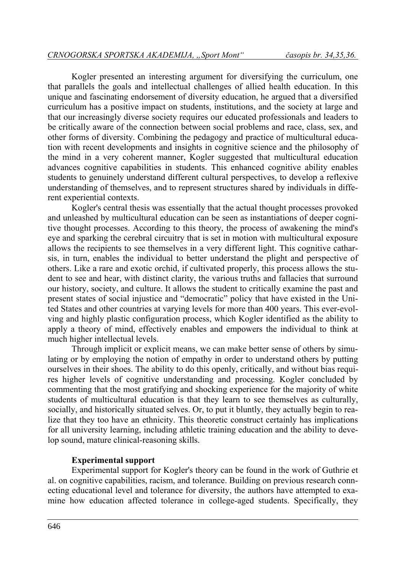Kogler presented an interesting argument for diversifying the curriculum, one that parallels the goals and intellectual challenges of allied health education. In this unique and fascinating endorsement of diversity education, he argued that a diversified curriculum has a positive impact on students, institutions, and the society at large and that our increasingly diverse society requires our educated professionals and leaders to be critically aware of the connection between social problems and race, class, sex, and other forms of diversity. Combining the pedagogy and practice of multicultural education with recent developments and insights in cognitive science and the philosophy of the mind in a very coherent manner, Kogler suggested that multicultural education advances cognitive capabilities in students. This enhanced cognitive ability enables students to genuinely understand different cultural perspectives, to develop a reflexive understanding of themselves, and to represent structures shared by individuals in different experiential contexts.

Kogler's central thesis was essentially that the actual thought processes provoked and unleashed by multicultural education can be seen as instantiations of deeper cognitive thought processes. According to this theory, the process of awakening the mind's eye and sparking the cerebral circuitry that is set in motion with multicultural exposure allows the recipients to see themselves in a very different light. This cognitive catharsis, in turn, enables the individual to better understand the plight and perspective of others. Like a rare and exotic orchid, if cultivated properly, this process allows the student to see and hear, with distinct clarity, the various truths and fallacies that surround our history, society, and culture. It allows the student to critically examine the past and present states of social injustice and "democratic" policy that have existed in the United States and other countries at varying levels for more than 400 years. This ever-evolving and highly plastic configuration process, which Kogler identified as the ability to apply a theory of mind, effectively enables and empowers the individual to think at much higher intellectual levels.

Through implicit or explicit means, we can make better sense of others by simulating or by employing the notion of empathy in order to understand others by putting ourselves in their shoes. The ability to do this openly, critically, and without bias requires higher levels of cognitive understanding and processing. Kogler concluded by commenting that the most gratifying and shocking experience for the majority of white students of multicultural education is that they learn to see themselves as culturally, socially, and historically situated selves. Or, to put it bluntly, they actually begin to realize that they too have an ethnicity. This theoretic construct certainly has implications for all university learning, including athletic training education and the ability to develop sound, mature clinical-reasoning skills.

#### **Experimental support**

Experimental support for Kogler's theory can be found in the work of Guthrie et al. on cognitive capabilities, racism, and tolerance. Building on previous research connecting educational level and tolerance for diversity, the authors have attempted to examine how education affected tolerance in college-aged students. Specifically, they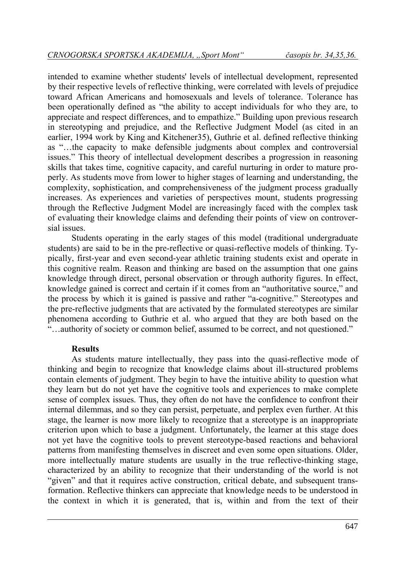intended to examine whether students' levels of intellectual development, represented by their respective levels of reflective thinking, were correlated with levels of prejudice toward African Americans and homosexuals and levels of tolerance. Tolerance has been operationally defined as "the ability to accept individuals for who they are, to appreciate and respect differences, and to empathize." Building upon previous research in stereotyping and prejudice, and the Reflective Judgment Model (as cited in an earlier, 1994 work by King and Kitchener35), Guthrie et al. defined reflective thinking as "…the capacity to make defensible judgments about complex and controversial issues." This theory of intellectual development describes a progression in reasoning skills that takes time, cognitive capacity, and careful nurturing in order to mature properly. As students move from lower to higher stages of learning and understanding, the complexity, sophistication, and comprehensiveness of the judgment process gradually increases. As experiences and varieties of perspectives mount, students progressing through the Reflective Judgment Model are increasingly faced with the complex task of evaluating their knowledge claims and defending their points of view on controversial issues.

Students operating in the early stages of this model (traditional undergraduate students) are said to be in the pre-reflective or quasi-reflective models of thinking. Typically, first-year and even second-year athletic training students exist and operate in this cognitive realm. Reason and thinking are based on the assumption that one gains knowledge through direct, personal observation or through authority figures. In effect, knowledge gained is correct and certain if it comes from an "authoritative source," and the process by which it is gained is passive and rather "a-cognitive." Stereotypes and the pre-reflective judgments that are activated by the formulated stereotypes are similar phenomena according to Guthrie et al. who argued that they are both based on the "…authority of society or common belief, assumed to be correct, and not questioned."

#### **Results**

As students mature intellectually, they pass into the quasi-reflective mode of thinking and begin to recognize that knowledge claims about ill-structured problems contain elements of judgment. They begin to have the intuitive ability to question what they learn but do not yet have the cognitive tools and experiences to make complete sense of complex issues. Thus, they often do not have the confidence to confront their internal dilemmas, and so they can persist, perpetuate, and perplex even further. At this stage, the learner is now more likely to recognize that a stereotype is an inappropriate criterion upon which to base a judgment. Unfortunately, the learner at this stage does not yet have the cognitive tools to prevent stereotype-based reactions and behavioral patterns from manifesting themselves in discreet and even some open situations. Older, more intellectually mature students are usually in the true reflective-thinking stage, characterized by an ability to recognize that their understanding of the world is not "given" and that it requires active construction, critical debate, and subsequent transformation. Reflective thinkers can appreciate that knowledge needs to be understood in the context in which it is generated, that is, within and from the text of their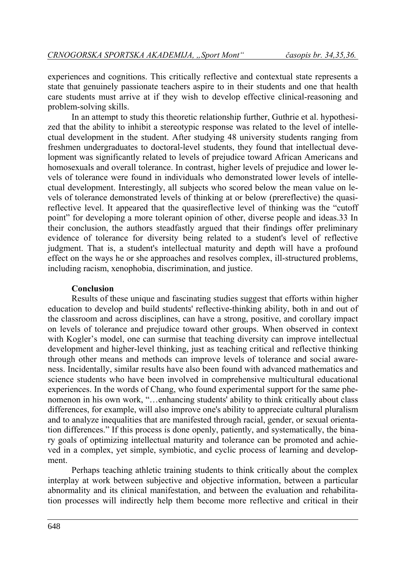experiences and cognitions. This critically reflective and contextual state represents a state that genuinely passionate teachers aspire to in their students and one that health care students must arrive at if they wish to develop effective clinical-reasoning and problem-solving skills.

In an attempt to study this theoretic relationship further, Guthrie et al. hypothesized that the ability to inhibit a stereotypic response was related to the level of intellectual development in the student. After studying 48 university students ranging from freshmen undergraduates to doctoral-level students, they found that intellectual development was significantly related to levels of prejudice toward African Americans and homosexuals and overall tolerance. In contrast, higher levels of prejudice and lower levels of tolerance were found in individuals who demonstrated lower levels of intellectual development. Interestingly, all subjects who scored below the mean value on levels of tolerance demonstrated levels of thinking at or below (prereflective) the quasireflective level. It appeared that the quasireflective level of thinking was the "cutoff point" for developing a more tolerant opinion of other, diverse people and ideas.33 In their conclusion, the authors steadfastly argued that their findings offer preliminary evidence of tolerance for diversity being related to a student's level of reflective judgment. That is, a student's intellectual maturity and depth will have a profound effect on the ways he or she approaches and resolves complex, ill-structured problems, including racism, xenophobia, discrimination, and justice.

### **Conclusion**

Results of these unique and fascinating studies suggest that efforts within higher education to develop and build students' reflective-thinking ability, both in and out of the classroom and across disciplines, can have a strong, positive, and corollary impact on levels of tolerance and prejudice toward other groups. When observed in context with Kogler's model, one can surmise that teaching diversity can improve intellectual development and higher-level thinking, just as teaching critical and reflective thinking through other means and methods can improve levels of tolerance and social awareness. Incidentally, similar results have also been found with advanced mathematics and science students who have been involved in comprehensive multicultural educational experiences. In the words of Chang, who found experimental support for the same phenomenon in his own work, "…enhancing students' ability to think critically about class differences, for example, will also improve one's ability to appreciate cultural pluralism and to analyze inequalities that are manifested through racial, gender, or sexual orientation differences." If this process is done openly, patiently, and systematically, the binary goals of optimizing intellectual maturity and tolerance can be promoted and achieved in a complex, yet simple, symbiotic, and cyclic process of learning and development.

Perhaps teaching athletic training students to think critically about the complex interplay at work between subjective and objective information, between a particular abnormality and its clinical manifestation, and between the evaluation and rehabilitation processes will indirectly help them become more reflective and critical in their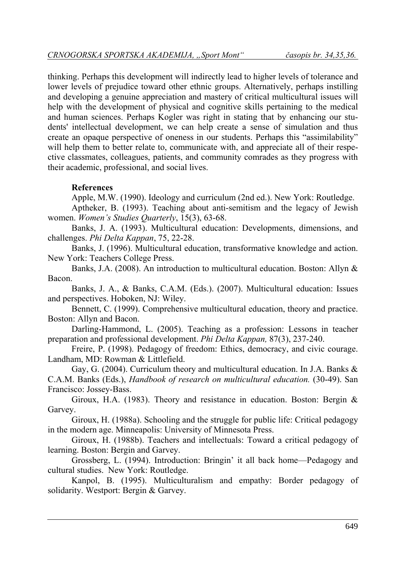thinking. Perhaps this development will indirectly lead to higher levels of tolerance and lower levels of prejudice toward other ethnic groups. Alternatively, perhaps instilling and developing a genuine appreciation and mastery of critical multicultural issues will help with the development of physical and cognitive skills pertaining to the medical and human sciences. Perhaps Kogler was right in stating that by enhancing our students' intellectual development, we can help create a sense of simulation and thus create an opaque perspective of oneness in our students. Perhaps this "assimilability" will help them to better relate to, communicate with, and appreciate all of their respective classmates, colleagues, patients, and community comrades as they progress with their academic, professional, and social lives.

# **References**

Apple, M.W. (1990). Ideology and curriculum (2nd ed.). New York: Routledge.

Aptheker, B. (1993). Teaching about anti-semitism and the legacy of Jewish women. *Women's Studies Quarterly*, 15(3), 63-68.

Banks, J. A. (1993). Multicultural education: Developments, dimensions, and challenges. *Phi Delta Kappan*, 75, 22-28.

Banks, J. (1996). Multicultural education, transformative knowledge and action. New York: Teachers College Press.

Banks, J.A. (2008). An introduction to multicultural education. Boston: Allyn & Bacon.

Banks, J. A., & Banks, C.A.M. (Eds.). (2007). Multicultural education: Issues and perspectives. Hoboken, NJ: Wiley.

Bennett, C. (1999). Comprehensive multicultural education, theory and practice. Boston: Allyn and Bacon.

Darling-Hammond, L. (2005). Teaching as a profession: Lessons in teacher preparation and professional development. *Phi Delta Kappan,* 87(3), 237-240.

Freire, P. (1998). Pedagogy of freedom: Ethics, democracy, and civic courage. Landham, MD: Rowman & Littlefield.

Gay, G. (2004). Curriculum theory and multicultural education. In J.A. Banks & C.A.M. Banks (Eds.), *Handbook of research on multicultural education.* (30-49). San Francisco: Jossey-Bass.

Giroux, H.A. (1983). Theory and resistance in education. Boston: Bergin & Garvey.

Giroux, H. (1988a). Schooling and the struggle for public life: Critical pedagogy in the modern age. Minneapolis: University of Minnesota Press.

Giroux, H. (1988b). Teachers and intellectuals: Toward a critical pedagogy of learning. Boston: Bergin and Garvey.

Grossberg, L. (1994). Introduction: Bringin' it all back home—Pedagogy and cultural studies. New York: Routledge.

Kanpol, B. (1995). Multiculturalism and empathy: Border pedagogy of solidarity. Westport: Bergin & Garvey.